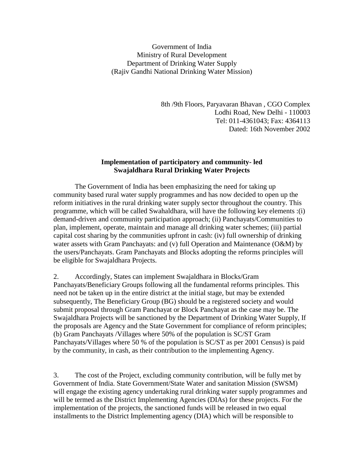Government of India Ministry of Rural Development Department of Drinking Water Supply (Rajiv Gandhi National Drinking Water Mission)

> 8th /9th Floors, Paryavaran Bhavan , CGO Complex Lodhi Road, New Delhi - 110003 Tel: 011-4361043; Fax: 4364113 Dated: 16th November 2002

## **Implementation of participatory and community- led Swajaldhara Rural Drinking Water Projects**

 The Government of India has been emphasizing the need for taking up community based rural water supply programmes and has now decided to open up the reform initiatives in the rural drinking water supply sector throughout the country. This programme, which will be called Swahaldhara, will have the following key elements :(i) demand-driven and community participation approach; (ii) Panchayats/Communities to plan, implement, operate, maintain and manage all drinking water schemes; (iii) partial capital cost sharing by the communities upfront in cash: (iv) full ownership of drinking water assets with Gram Panchayats: and (v) full Operation and Maintenance (O&M) by the users/Panchayats. Gram Panchayats and Blocks adopting the reforms principles will be eligible for Swajaldhara Projects.

2. Accordingly, States can implement Swajaldhara in Blocks/Gram Panchayats/Beneficiary Groups following all the fundamental reforms principles. This need not be taken up in the entire district at the initial stage, but may be extended subsequently, The Beneficiary Group (BG) should be a registered society and would submit proposal through Gram Panchayat or Block Panchayat as the case may be. The Swajaldhara Projects will be sanctioned by the Department of Drinking Water Supply, If the proposals are Agency and the State Government for compliance of reform principles; (b) Gram Panchayats /Villages where 50% of the population is SC/ST Gram Panchayats/Villages where 50 % of the population is SC/ST as per 2001 Census) is paid by the community, in cash, as their contribution to the implementing Agency.

3. The cost of the Project, excluding community contribution, will be fully met by Government of India. State Government/State Water and sanitation Mission (SWSM) will engage the existing agency undertaking rural drinking water supply programmes and will be termed as the District Implementing Agencies (DIAs) for these projects. For the implementation of the projects, the sanctioned funds will be released in two equal installments to the District Implementing agency (DIA) which will be responsible to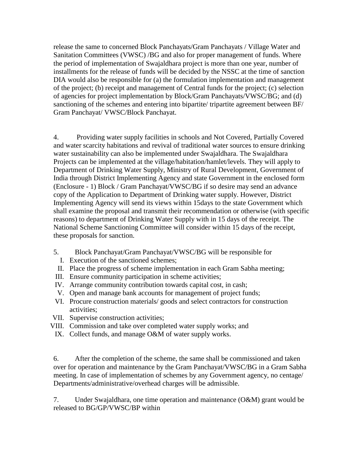release the same to concerned Block Panchayats/Gram Panchayats / Village Water and Sanitation Committees (VWSC) /BG and also for proper management of funds. Where the period of implementation of Swajaldhara project is more than one year, number of installments for the release of funds will be decided by the NSSC at the time of sanction DIA would also be responsible for (a) the formulation implementation and management of the project; (b) receipt and management of Central funds for the project; (c) selection of agencies for project implementation by Block/Gram Panchayats/VWSC/BG; and (d) sanctioning of the schemes and entering into bipartite/ tripartite agreement between BF/ Gram Panchayat/ VWSC/Block Panchayat.

4. Providing water supply facilities in schools and Not Covered, Partially Covered and water scarcity habitations and revival of traditional water sources to ensure drinking water sustainability can also be implemented under Swajaldhara. The Swajaldhara Projects can be implemented at the village/habitation/hamlet/levels. They will apply to Department of Drinking Water Supply, Ministry of Rural Development, Government of India through District Implementing Agency and state Government in the enclosed form (Enclosure - 1) Block / Gram Panchayat/VWSC/BG if so desire may send an advance copy of the Application to Department of Drinking water supply. However, District Implementing Agency will send its views within 15days to the state Government which shall examine the proposal and transmit their recommendation or otherwise (with specific reasons) to department of Drinking Water Supply with in 15 days of the receipt. The National Scheme Sanctioning Committee will consider within 15 days of the receipt, these proposals for sanction.

- 5. Block Panchayat/Gram Panchayat/VWSC/BG will be responsible for
- I. Execution of the sanctioned schemes;
- II. Place the progress of scheme implementation in each Gram Sabha meeting;
- III. Ensure community participation in scheme activities;
- IV. Arrange community contribution towards capital cost, in cash;
- V. Open and manage bank accounts for management of project funds;
- VI. Procure construction materials/ goods and select contractors for construction activities;
- VII. Supervise construction activities;
- VIII. Commission and take over completed water supply works; and
- IX. Collect funds, and manage O&M of water supply works.

6. After the completion of the scheme, the same shall be commissioned and taken over for operation and maintenance by the Gram Panchayat/VWSC/BG in a Gram Sabha meeting. In case of implementation of schemes by any Government agency, no centage/ Departments/administrative/overhead charges will be admissible.

7. Under Swajaldhara, one time operation and maintenance (O&M) grant would be released to BG/GP/VWSC/BP within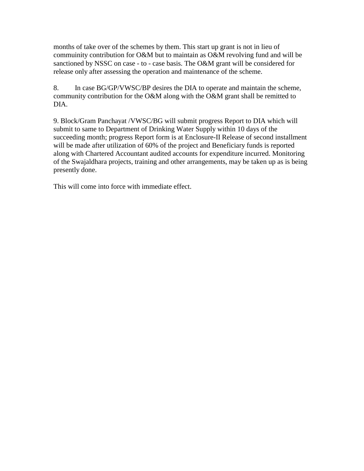months of take over of the schemes by them. This start up grant is not in lieu of commuinity contribution for O&M but to maintain as O&M revolving fund and will be sanctioned by NSSC on case - to - case basis. The O&M grant will be considered for release only after assessing the operation and maintenance of the scheme.

8. In case BG/GP/VWSC/BP desires the DIA to operate and maintain the scheme, community contribution for the O&M along with the O&M grant shall be remitted to DIA.

9. Block/Gram Panchayat /VWSC/BG will submit progress Report to DIA which will submit to same to Department of Drinking Water Supply within 10 days of the succeeding month; progress Report form is at Enclosure-II Release of second installment will be made after utilization of 60% of the project and Beneficiary funds is reported along with Chartered Accountant audited accounts for expenditure incurred. Monitoring of the Swajaldhara projects, training and other arrangements, may be taken up as is being presently done.

This will come into force with immediate effect.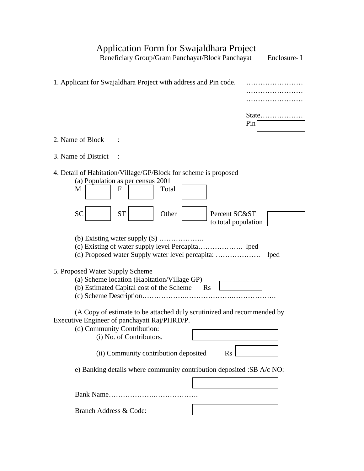## Application Form for Swajaldhara Project

Beneficiary Group/Gram Panchayat/Block Panchayat Enclosure- I

| 1. Applicant for Swajaldhara Project with address and Pin code.                                                                                                                   |
|-----------------------------------------------------------------------------------------------------------------------------------------------------------------------------------|
| State<br>Pin                                                                                                                                                                      |
| 2. Name of Block                                                                                                                                                                  |
| 3. Name of District                                                                                                                                                               |
| 4. Detail of Habitation/Village/GP/Block for scheme is proposed<br>(a) Population as per census 2001<br>$\mathbf{F}$<br>M<br>Total                                                |
| <b>SC</b><br><b>ST</b><br>Other<br>Percent SC&ST<br>to total population                                                                                                           |
| (b) Existing water supply $(S)$<br>lped                                                                                                                                           |
| 5. Proposed Water Supply Scheme<br>(a) Scheme location (Habitation/Village GP)<br>(b) Estimated Capital cost of the Scheme Rs                                                     |
| (A Copy of estimate to be attached duly scrutinized and recommended by<br>Executive Engineer of panchayati Raj/PHRD/P.<br>(d) Community Contribution:<br>(i) No. of Contributors. |
| (ii) Community contribution deposited<br>$\rm Rs$                                                                                                                                 |
| e) Banking details where community contribution deposited :SB A/c NO:                                                                                                             |
|                                                                                                                                                                                   |
| Branch Address & Code:                                                                                                                                                            |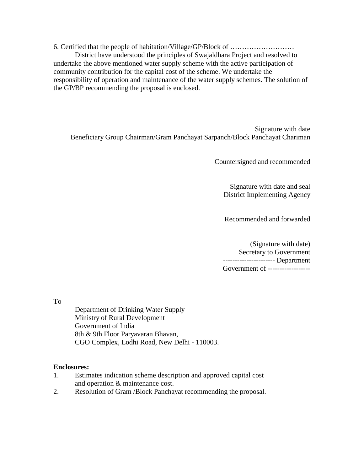6. Certified that the people of habitation/Village/GP/Block of ………………………

 District have understood the principles of Swajaldhara Project and resolved to undertake the above mentioned water supply scheme with the active participation of community contribution for the capital cost of the scheme. We undertake the responsibility of operation and maintenance of the water supply schemes. The solution of the GP/BP recommending the proposal is enclosed.

Signature with date Beneficiary Group Chairman/Gram Panchayat Sarpanch/Block Panchayat Chariman

Countersigned and recommended

Signature with date and seal District Implementing Agency

Recommended and forwarded

(Signature with date) Secretary to Government ---------------------- Department Government of ------------------

To

Department of Drinking Water Supply Ministry of Rural Development Government of India 8th & 9th Floor Paryavaran Bhavan, CGO Complex, Lodhi Road, New Delhi - 110003.

## **Enclosures:**

- 1. Estimates indication scheme description and approved capital cost and operation & maintenance cost.
- 2. Resolution of Gram /Block Panchayat recommending the proposal.